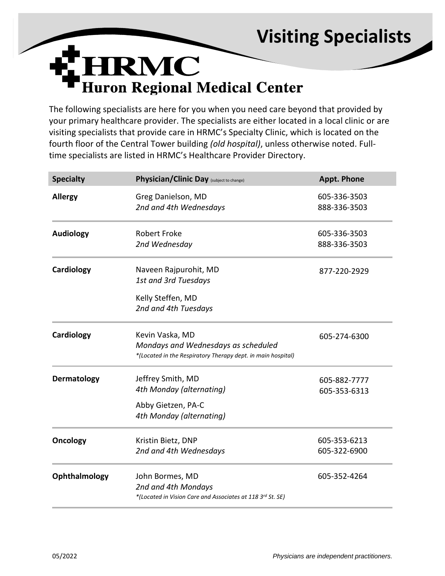## **Visiting Specialists**



The following specialists are here for you when you need care beyond that provided by your primary healthcare provider. The specialists are either located in a local clinic or are visiting specialists that provide care in HRMC's Specialty Clinic, which is located on the fourth floor of the Central Tower building *(old hospital)*, unless otherwise noted. Fulltime specialists are listed in HRMC's Healthcare Provider Directory.

| <b>Specialty</b> | Physician/Clinic Day (subject to change)                                                            | <b>Appt. Phone</b> |
|------------------|-----------------------------------------------------------------------------------------------------|--------------------|
| <b>Allergy</b>   | Greg Danielson, MD                                                                                  | 605-336-3503       |
|                  | 2nd and 4th Wednesdays                                                                              | 888-336-3503       |
| <b>Audiology</b> | <b>Robert Froke</b>                                                                                 | 605-336-3503       |
|                  | 2nd Wednesday                                                                                       | 888-336-3503       |
| Cardiology       | Naveen Rajpurohit, MD                                                                               | 877-220-2929       |
|                  | 1st and 3rd Tuesdays                                                                                |                    |
|                  | Kelly Steffen, MD                                                                                   |                    |
|                  | 2nd and 4th Tuesdays                                                                                |                    |
| Cardiology       | Kevin Vaska, MD                                                                                     | 605-274-6300       |
|                  | Mondays and Wednesdays as scheduled<br>*(Located in the Respiratory Therapy dept. in main hospital) |                    |
| Dermatology      | Jeffrey Smith, MD                                                                                   | 605-882-7777       |
|                  | 4th Monday (alternating)                                                                            | 605-353-6313       |
|                  | Abby Gietzen, PA-C                                                                                  |                    |
|                  | 4th Monday (alternating)                                                                            |                    |
| <b>Oncology</b>  | Kristin Bietz, DNP                                                                                  | 605-353-6213       |
|                  | 2nd and 4th Wednesdays                                                                              | 605-322-6900       |
| Ophthalmology    | John Bormes, MD                                                                                     | 605-352-4264       |
|                  | 2nd and 4th Mondays                                                                                 |                    |
|                  | *(Located in Vision Care and Associates at 118 3rd St. SE)                                          |                    |